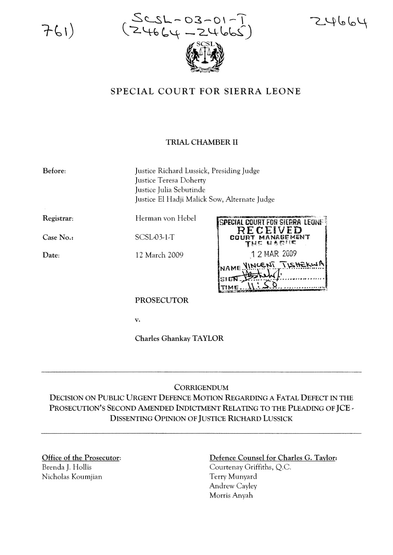$761)$ 



 $24664$ 

## SPECIAL COURT FOR SIERRA LEONE

## TRIAL CHAMBER II

Before: Justice Richard Lussick, Presiding Judge Justice Teresa Doherty Justice Julia Sebutinde Justice El Hadji Malick Sow, Alternate Judge

Registrar:

Case No.:

SCSL-03-1-T

Date:

12 March 2009

Herman von Hebel



PROSECUTOR

v.

Charles Ghankay TAYLOR

## **CORRIGENDUM**

DECISION ON PuBLIC URGENT DEFENCE MOTION REGARDING A FATAL DEFECT IN THE PROSECUTION'S SECOND AMENDED INDICTMENT RELATING TO THE PLEADING OF JCE -DISSENTING OPINION OF JUSTICE RICHARD LUSSICK

Office of the Prosecutor: Brenda J. Hollis Nicholas Koumjian

## Defence Counsel for Charles G. Taylor:

Courtenay Griffiths, Q.c. Terry Munyard Andrew Cayley Morris Anyah